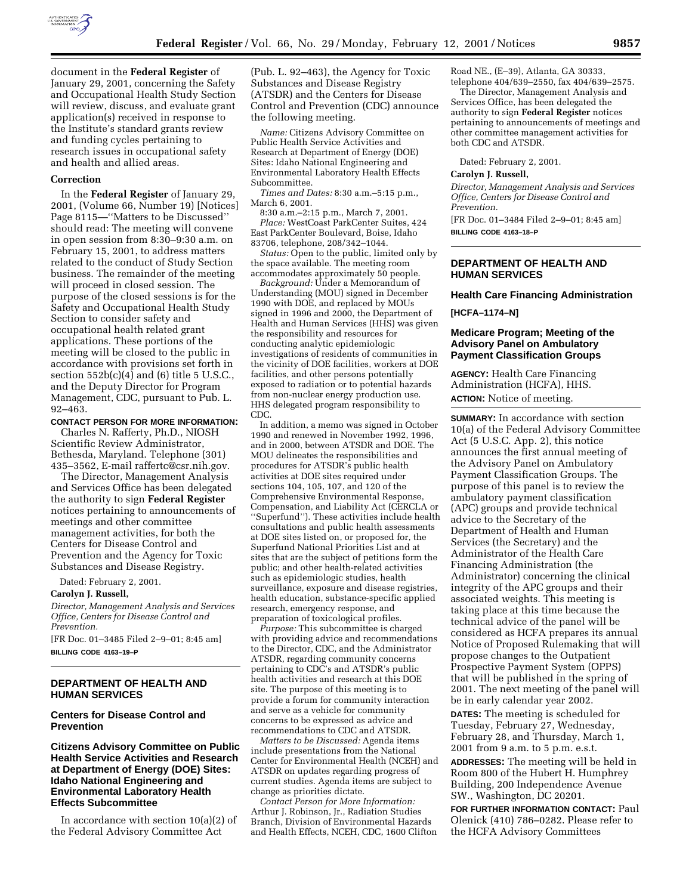

document in the **Federal Register** of January 29, 2001, concerning the Safety and Occupational Health Study Section will review, discuss, and evaluate grant application(s) received in response to the Institute's standard grants review and funding cycles pertaining to research issues in occupational safety and health and allied areas.

#### **Correction**

In the **Federal Register** of January 29, 2001, (Volume 66, Number 19) [Notices] Page 8115—''Matters to be Discussed'' should read: The meeting will convene in open session from 8:30–9:30 a.m. on February 15, 2001, to address matters related to the conduct of Study Section business. The remainder of the meeting will proceed in closed session. The purpose of the closed sessions is for the Safety and Occupational Health Study Section to consider safety and occupational health related grant applications. These portions of the meeting will be closed to the public in accordance with provisions set forth in section  $552b(c)(4)$  and  $(6)$  title 5 U.S.C., and the Deputy Director for Program Management, CDC, pursuant to Pub. L. 92–463.

#### **CONTACT PERSON FOR MORE INFORMATION:**

Charles N. Rafferty, Ph.D., NIOSH Scientific Review Administrator, Bethesda, Maryland. Telephone (301) 435–3562, E-mail raffertc@csr.nih.gov.

The Director, Management Analysis and Services Office has been delegated the authority to sign **Federal Register** notices pertaining to announcements of meetings and other committee management activities, for both the Centers for Disease Control and Prevention and the Agency for Toxic Substances and Disease Registry.

Dated: February 2, 2001.

### **Carolyn J. Russell,**

*Director, Management Analysis and Services Office, Centers for Disease Control and Prevention.*

[FR Doc. 01–3485 Filed 2–9–01; 8:45 am] **BILLING CODE 4163–19–P**

## **DEPARTMENT OF HEALTH AND HUMAN SERVICES**

#### **Centers for Disease Control and Prevention**

### **Citizens Advisory Committee on Public Health Service Activities and Research at Department of Energy (DOE) Sites: Idaho National Engineering and Environmental Laboratory Health Effects Subcommittee**

In accordance with section 10(a)(2) of the Federal Advisory Committee Act

(Pub. L. 92–463), the Agency for Toxic Substances and Disease Registry (ATSDR) and the Centers for Disease Control and Prevention (CDC) announce the following meeting.

*Name:* Citizens Advisory Committee on Public Health Service Activities and Research at Department of Energy (DOE) Sites: Idaho National Engineering and Environmental Laboratory Health Effects Subcommittee.

*Times and Dates:* 8:30 a.m.–5:15 p.m., March 6, 2001.

8:30 a.m.–2:15 p.m., March 7, 2001. *Place:* WestCoast ParkCenter Suites, 424 East ParkCenter Boulevard, Boise, Idaho 83706, telephone, 208/342–1044.

*Status:* Open to the public, limited only by the space available. The meeting room accommodates approximately 50 people.

*Background:* Under a Memorandum of Understanding (MOU) signed in December 1990 with DOE, and replaced by MOUs signed in 1996 and 2000, the Department of Health and Human Services (HHS) was given the responsibility and resources for conducting analytic epidemiologic investigations of residents of communities in the vicinity of DOE facilities, workers at DOE facilities, and other persons potentially exposed to radiation or to potential hazards from non-nuclear energy production use. HHS delegated program responsibility to CDC.

In addition, a memo was signed in October 1990 and renewed in November 1992, 1996, and in 2000, between ATSDR and DOE. The MOU delineates the responsibilities and procedures for ATSDR's public health activities at DOE sites required under sections 104, 105, 107, and 120 of the Comprehensive Environmental Response, Compensation, and Liability Act (CERCLA or ''Superfund''). These activities include health consultations and public health assessments at DOE sites listed on, or proposed for, the Superfund National Priorities List and at sites that are the subject of petitions form the public; and other health-related activities such as epidemiologic studies, health surveillance, exposure and disease registries, health education, substance-specific applied research, emergency response, and preparation of toxicological profiles.

*Purpose:* This subcommittee is charged with providing advice and recommendations to the Director, CDC, and the Administrator ATSDR, regarding community concerns pertaining to CDC's and ATSDR's public health activities and research at this DOE site. The purpose of this meeting is to provide a forum for community interaction and serve as a vehicle for community concerns to be expressed as advice and recommendations to CDC and ATSDR.

*Matters to be Discussed:* Agenda items include presentations from the National Center for Environmental Health (NCEH) and ATSDR on updates regarding progress of current studies. Agenda items are subject to change as priorities dictate.

*Contact Person for More Information:* Arthur J. Robinson, Jr., Radiation Studies Branch, Division of Environmental Hazards and Health Effects, NCEH, CDC, 1600 Clifton

Road NE., (E–39), Atlanta, GA 30333, telephone 404/639–2550, fax 404/639–2575.

The Director, Management Analysis and Services Office, has been delegated the authority to sign **Federal Register** notices pertaining to announcements of meetings and other committee management activities for both CDC and ATSDR.

Dated: February 2, 2001.

## **Carolyn J. Russell,**

*Director, Management Analysis and Services Office, Centers for Disease Control and Prevention.*

[FR Doc. 01–3484 Filed 2–9–01; 8:45 am] **BILLING CODE 4163–18–P**

### **DEPARTMENT OF HEALTH AND HUMAN SERVICES**

#### **Health Care Financing Administration**

**[HCFA–1174–N]**

### **Medicare Program; Meeting of the Advisory Panel on Ambulatory Payment Classification Groups**

**AGENCY:** Health Care Financing Administration (HCFA), HHS. **ACTION:** Notice of meeting.

**SUMMARY:** In accordance with section 10(a) of the Federal Advisory Committee Act (5 U.S.C. App. 2), this notice announces the first annual meeting of the Advisory Panel on Ambulatory Payment Classification Groups. The purpose of this panel is to review the ambulatory payment classification (APC) groups and provide technical advice to the Secretary of the Department of Health and Human Services (the Secretary) and the Administrator of the Health Care Financing Administration (the Administrator) concerning the clinical integrity of the APC groups and their associated weights. This meeting is taking place at this time because the technical advice of the panel will be considered as HCFA prepares its annual Notice of Proposed Rulemaking that will propose changes to the Outpatient Prospective Payment System (OPPS) that will be published in the spring of 2001. The next meeting of the panel will be in early calendar year 2002.

**DATES:** The meeting is scheduled for Tuesday, February 27, Wednesday, February 28, and Thursday, March 1, 2001 from 9 a.m. to 5 p.m. e.s.t.

**ADDRESSES:** The meeting will be held in Room 800 of the Hubert H. Humphrey Building, 200 Independence Avenue SW., Washington, DC 20201.

**FOR FURTHER INFORMATION CONTACT:** Paul Olenick (410) 786–0282. Please refer to the HCFA Advisory Committees